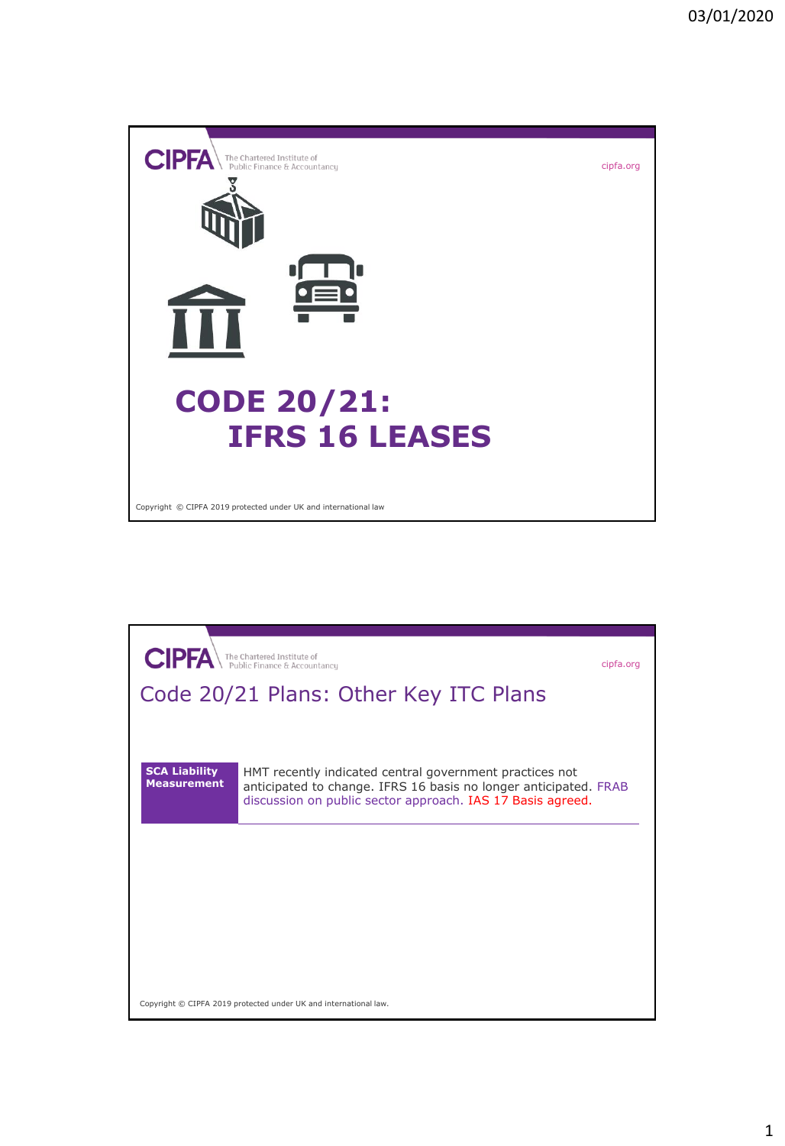

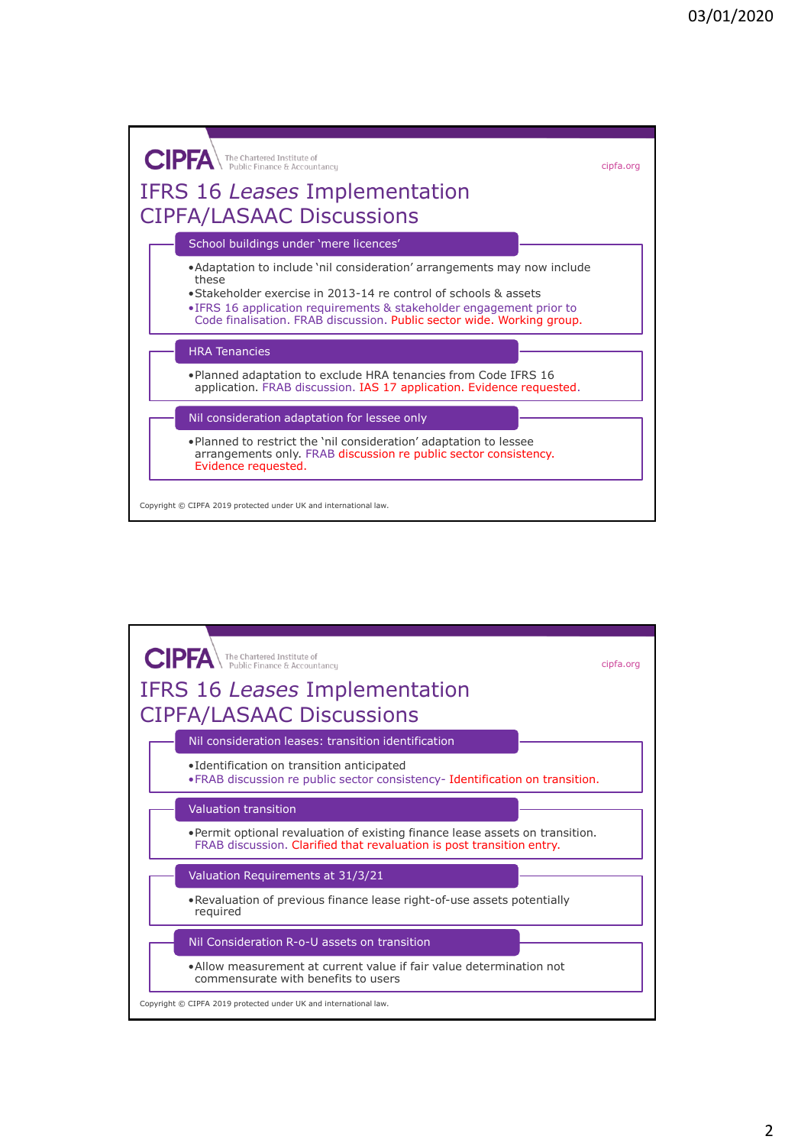